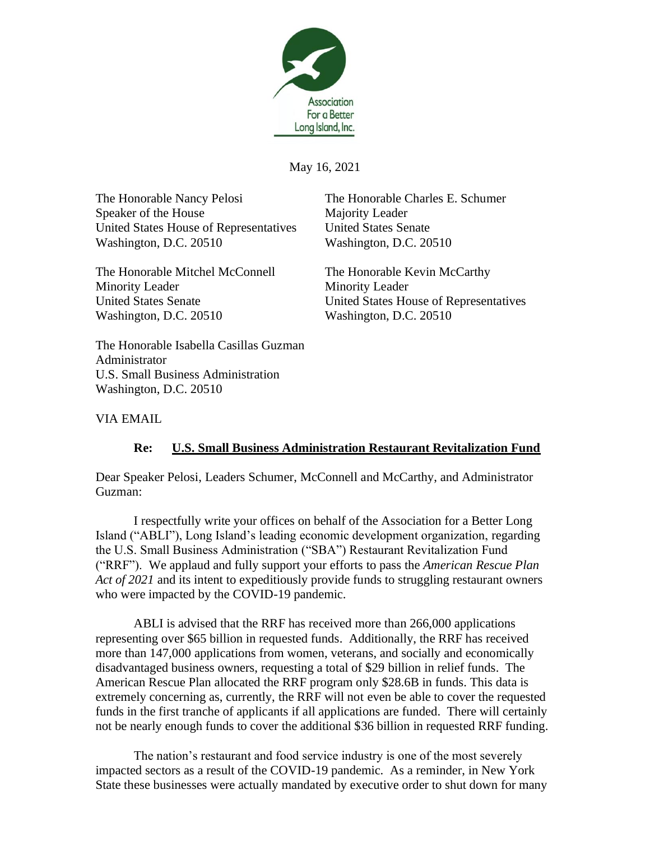

May 16, 2021

The Honorable Nancy Pelosi The Honorable Charles E. Schumer Speaker of the House Majority Leader United States House of Representatives United States Senate Washington, D.C. 20510 Washington, D.C. 20510

The Honorable Mitchel McConnell The Honorable Kevin McCarthy Minority Leader Minority Leader Washington, D.C. 20510 Washington, D.C. 20510

United States Senate United States House of Representatives

The Honorable Isabella Casillas Guzman Administrator U.S. Small Business Administration Washington, D.C. 20510

VIA EMAIL

## **Re: U.S. Small Business Administration Restaurant Revitalization Fund**

Dear Speaker Pelosi, Leaders Schumer, McConnell and McCarthy, and Administrator Guzman:

I respectfully write your offices on behalf of the Association for a Better Long Island ("ABLI"), Long Island's leading economic development organization, regarding the U.S. Small Business Administration ("SBA") Restaurant Revitalization Fund ("RRF"). We applaud and fully support your efforts to pass the *American Rescue Plan Act of 2021* and its intent to expeditiously provide funds to struggling restaurant owners who were impacted by the COVID-19 pandemic.

ABLI is advised that the RRF has received more than 266,000 applications representing over \$65 billion in requested funds. Additionally, the RRF has received more than 147,000 applications from women, veterans, and socially and economically disadvantaged business owners, requesting a total of \$29 billion in relief funds. The American Rescue Plan allocated the RRF program only \$28.6B in funds. This data is extremely concerning as, currently, the RRF will not even be able to cover the requested funds in the first tranche of applicants if all applications are funded. There will certainly not be nearly enough funds to cover the additional \$36 billion in requested RRF funding.

The nation's restaurant and food service industry is one of the most severely impacted sectors as a result of the COVID-19 pandemic. As a reminder, in New York State these businesses were actually mandated by executive order to shut down for many